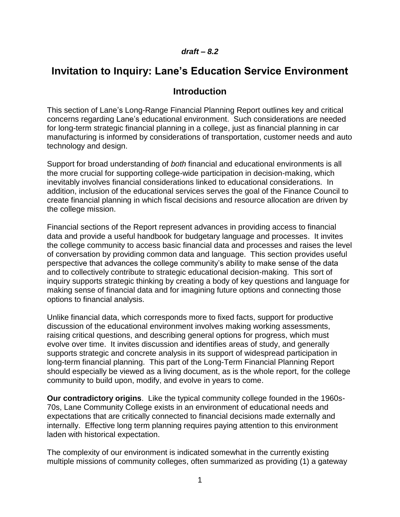# *draft – 8.2*

# **Invitation to Inquiry: Lane's Education Service Environment**

# **Introduction**

This section of Lane's Long-Range Financial Planning Report outlines key and critical concerns regarding Lane's educational environment. Such considerations are needed for long-term strategic financial planning in a college, just as financial planning in car manufacturing is informed by considerations of transportation, customer needs and auto technology and design.

Support for broad understanding of *both* financial and educational environments is all the more crucial for supporting college-wide participation in decision-making, which inevitably involves financial considerations linked to educational considerations. In addition, inclusion of the educational services serves the goal of the Finance Council to create financial planning in which fiscal decisions and resource allocation are driven by the college mission.

Financial sections of the Report represent advances in providing access to financial data and provide a useful handbook for budgetary language and processes. It invites the college community to access basic financial data and processes and raises the level of conversation by providing common data and language. This section provides useful perspective that advances the college community's ability to make sense of the data and to collectively contribute to strategic educational decision-making. This sort of inquiry supports strategic thinking by creating a body of key questions and language for making sense of financial data and for imagining future options and connecting those options to financial analysis.

Unlike financial data, which corresponds more to fixed facts, support for productive discussion of the educational environment involves making working assessments, raising critical questions, and describing general options for progress, which must evolve over time. It invites discussion and identifies areas of study, and generally supports strategic and concrete analysis in its support of widespread participation in long-term financial planning. This part of the Long-Term Financial Planning Report should especially be viewed as a living document, as is the whole report, for the college community to build upon, modify, and evolve in years to come.

**Our contradictory origins**. Like the typical community college founded in the 1960s-70s, Lane Community College exists in an environment of educational needs and expectations that are critically connected to financial decisions made externally and internally. Effective long term planning requires paying attention to this environment laden with historical expectation.

The complexity of our environment is indicated somewhat in the currently existing multiple missions of community colleges, often summarized as providing (1) a gateway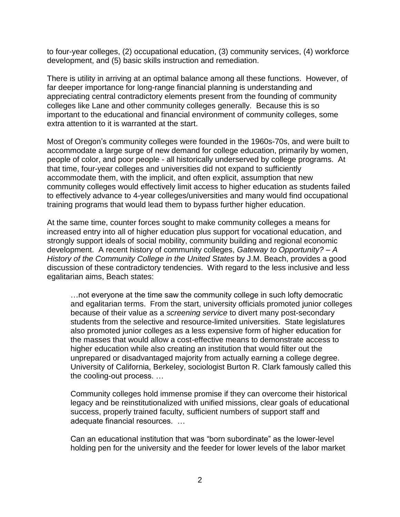to four-year colleges, (2) occupational education, (3) community services, (4) workforce development, and (5) basic skills instruction and remediation.

There is utility in arriving at an optimal balance among all these functions. However, of far deeper importance for long-range financial planning is understanding and appreciating central contradictory elements present from the founding of community colleges like Lane and other community colleges generally. Because this is so important to the educational and financial environment of community colleges, some extra attention to it is warranted at the start.

Most of Oregon's community colleges were founded in the 1960s-70s, and were built to accommodate a large surge of new demand for college education, primarily by women, people of color, and poor people - all historically underserved by college programs. At that time, four-year colleges and universities did not expand to sufficiently accommodate them, with the implicit, and often explicit, assumption that new community colleges would effectively limit access to higher education as students failed to effectively advance to 4-year colleges/universities and many would find occupational training programs that would lead them to bypass further higher education.

At the same time, counter forces sought to make community colleges a means for increased entry into all of higher education plus support for vocational education, and strongly support ideals of social mobility, community building and regional economic development. A recent history of community colleges, *Gateway to Opportunity? – A History of the Community College in the United States* by J.M. Beach, provides a good discussion of these contradictory tendencies. With regard to the less inclusive and less egalitarian aims, Beach states:

…not everyone at the time saw the community college in such lofty democratic and egalitarian terms. From the start, university officials promoted junior colleges because of their value as a *screening service* to divert many post-secondary students from the selective and resource-limited universities. State legislatures also promoted junior colleges as a less expensive form of higher education for the masses that would allow a cost-effective means to demonstrate access to higher education while also creating an institution that would filter out the unprepared or disadvantaged majority from actually earning a college degree. University of California, Berkeley, sociologist Burton R. Clark famously called this the cooling-out process. …

Community colleges hold immense promise if they can overcome their historical legacy and be reinstitutionalized with unified missions, clear goals of educational success, properly trained faculty, sufficient numbers of support staff and adequate financial resources. …

Can an educational institution that was "born subordinate" as the lower-level holding pen for the university and the feeder for lower levels of the labor market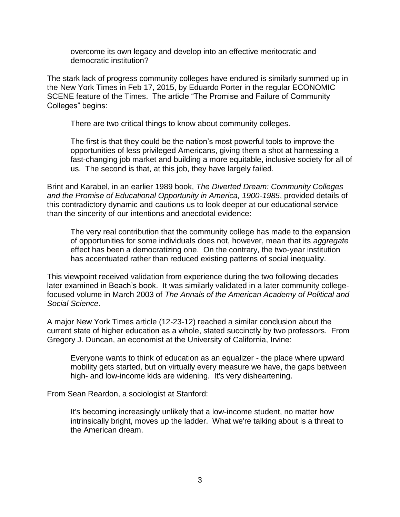overcome its own legacy and develop into an effective meritocratic and democratic institution?

The stark lack of progress community colleges have endured is similarly summed up in the New York Times in Feb 17, 2015, by Eduardo Porter in the regular ECONOMIC SCENE feature of the Times. The article "The Promise and Failure of Community Colleges" begins:

There are two critical things to know about community colleges.

The first is that they could be the nation's most powerful tools to improve the opportunities of less privileged Americans, giving them a shot at harnessing a fast-changing job market and building a more equitable, inclusive society for all of us. The second is that, at this job, they have largely failed.

Brint and Karabel, in an earlier 1989 book, *The Diverted Dream: Community Colleges and the Promise of Educational Opportunity in America, 1900-1985*, provided details of this contradictory dynamic and cautions us to look deeper at our educational service than the sincerity of our intentions and anecdotal evidence:

The very real contribution that the community college has made to the expansion of opportunities for some individuals does not, however, mean that its *aggregate* effect has been a democratizing one. On the contrary, the two-year institution has accentuated rather than reduced existing patterns of social inequality.

This viewpoint received validation from experience during the two following decades later examined in Beach's book. It was similarly validated in a later community collegefocused volume in March 2003 of *The Annals of the American Academy of Political and Social Science*.

A major New York Times article (12-23-12) reached a similar conclusion about the current state of higher education as a whole, stated succinctly by two professors. From Gregory J. Duncan, an economist at the University of California, Irvine:

Everyone wants to think of education as an equalizer - the place where upward mobility gets started, but on virtually every measure we have, the gaps between high- and low-income kids are widening. It's very disheartening.

From Sean Reardon, a sociologist at Stanford:

It's becoming increasingly unlikely that a low-income student, no matter how intrinsically bright, moves up the ladder. What we're talking about is a threat to the American dream.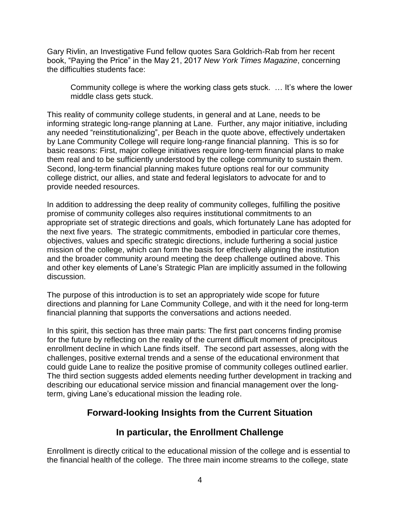Gary Rivlin, an Investigative Fund fellow quotes Sara Goldrich-Rab from her recent book, "Paying the Price" in the May 21, 2017 *New York Times Magazine*, concerning the difficulties students face:

Community college is where the working class gets stuck. … It's where the lower middle class gets stuck.

This reality of community college students, in general and at Lane, needs to be informing strategic long-range planning at Lane. Further, any major initiative, including any needed "reinstitutionalizing", per Beach in the quote above, effectively undertaken by Lane Community College will require long-range financial planning. This is so for basic reasons: First, major college initiatives require long-term financial plans to make them real and to be sufficiently understood by the college community to sustain them. Second, long-term financial planning makes future options real for our community college district, our allies, and state and federal legislators to advocate for and to provide needed resources.

In addition to addressing the deep reality of community colleges, fulfilling the positive promise of community colleges also requires institutional commitments to an appropriate set of strategic directions and goals, which fortunately Lane has adopted for the next five years. The strategic commitments, embodied in particular core themes, objectives, values and specific strategic directions, include furthering a social justice mission of the college, which can form the basis for effectively aligning the institution and the broader community around meeting the deep challenge outlined above. This and other key elements of Lane's Strategic Plan are implicitly assumed in the following discussion.

The purpose of this introduction is to set an appropriately wide scope for future directions and planning for Lane Community College, and with it the need for long-term financial planning that supports the conversations and actions needed.

In this spirit, this section has three main parts: The first part concerns finding promise for the future by reflecting on the reality of the current difficult moment of precipitous enrollment decline in which Lane finds itself. The second part assesses, along with the challenges, positive external trends and a sense of the educational environment that could guide Lane to realize the positive promise of community colleges outlined earlier. The third section suggests added elements needing further development in tracking and describing our educational service mission and financial management over the longterm, giving Lane's educational mission the leading role.

# **Forward-looking Insights from the Current Situation**

# **In particular, the Enrollment Challenge**

Enrollment is directly critical to the educational mission of the college and is essential to the financial health of the college. The three main income streams to the college, state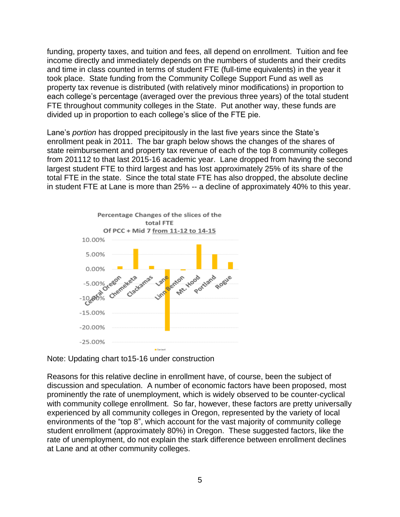funding, property taxes, and tuition and fees, all depend on enrollment. Tuition and fee income directly and immediately depends on the numbers of students and their credits and time in class counted in terms of student FTE (full-time equivalents) in the year it took place. State funding from the Community College Support Fund as well as property tax revenue is distributed (with relatively minor modifications) in proportion to each college's percentage (averaged over the previous three years) of the total student FTE throughout community colleges in the State. Put another way, these funds are divided up in proportion to each college's slice of the FTE pie.

Lane's *portion* has dropped precipitously in the last five years since the State's enrollment peak in 2011. The bar graph below shows the changes of the shares of state reimbursement and property tax revenue of each of the top 8 community colleges from 201112 to that last 2015-16 academic year. Lane dropped from having the second largest student FTE to third largest and has lost approximately 25% of its share of the total FTE in the state. Since the total state FTE has also dropped, the absolute decline in student FTE at Lane is more than 25% -- a decline of approximately 40% to this year.



Note: Updating chart to15-16 under construction

Reasons for this relative decline in enrollment have, of course, been the subject of discussion and speculation. A number of economic factors have been proposed, most prominently the rate of unemployment, which is widely observed to be counter-cyclical with community college enrollment. So far, however, these factors are pretty universally experienced by all community colleges in Oregon, represented by the variety of local environments of the "top 8", which account for the vast majority of community college student enrollment (approximately 80%) in Oregon. These suggested factors, like the rate of unemployment, do not explain the stark difference between enrollment declines at Lane and at other community colleges.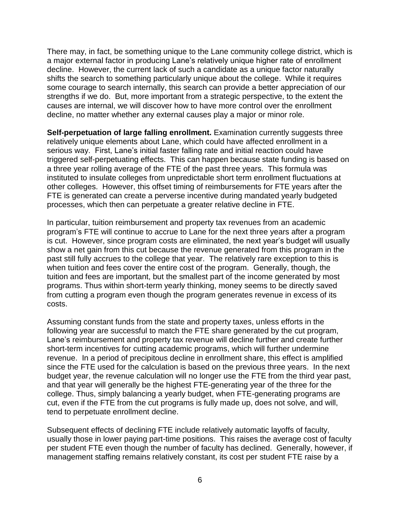There may, in fact, be something unique to the Lane community college district, which is a major external factor in producing Lane's relatively unique higher rate of enrollment decline. However, the current lack of such a candidate as a unique factor naturally shifts the search to something particularly unique about the college. While it requires some courage to search internally, this search can provide a better appreciation of our strengths if we do. But, more important from a strategic perspective, to the extent the causes are internal, we will discover how to have more control over the enrollment decline, no matter whether any external causes play a major or minor role.

**Self-perpetuation of large falling enrollment.** Examination currently suggests three relatively unique elements about Lane, which could have affected enrollment in a serious way. First, Lane's initial faster falling rate and initial reaction could have triggered self-perpetuating effects. This can happen because state funding is based on a three year rolling average of the FTE of the past three years. This formula was instituted to insulate colleges from unpredictable short term enrollment fluctuations at other colleges. However, this offset timing of reimbursements for FTE years after the FTE is generated can create a perverse incentive during mandated yearly budgeted processes, which then can perpetuate a greater relative decline in FTE.

In particular, tuition reimbursement and property tax revenues from an academic program's FTE will continue to accrue to Lane for the next three years after a program is cut. However, since program costs are eliminated, the next year's budget will usually show a net gain from this cut because the revenue generated from this program in the past still fully accrues to the college that year. The relatively rare exception to this is when tuition and fees cover the entire cost of the program. Generally, though, the tuition and fees are important, but the smallest part of the income generated by most programs. Thus within short-term yearly thinking, money seems to be directly saved from cutting a program even though the program generates revenue in excess of its costs.

Assuming constant funds from the state and property taxes, unless efforts in the following year are successful to match the FTE share generated by the cut program, Lane's reimbursement and property tax revenue will decline further and create further short-term incentives for cutting academic programs, which will further undermine revenue. In a period of precipitous decline in enrollment share, this effect is amplified since the FTE used for the calculation is based on the previous three years. In the next budget year, the revenue calculation will no longer use the FTE from the third year past, and that year will generally be the highest FTE-generating year of the three for the college. Thus, simply balancing a yearly budget, when FTE-generating programs are cut, even if the FTE from the cut programs is fully made up, does not solve, and will, tend to perpetuate enrollment decline.

Subsequent effects of declining FTE include relatively automatic layoffs of faculty, usually those in lower paying part-time positions. This raises the average cost of faculty per student FTE even though the number of faculty has declined. Generally, however, if management staffing remains relatively constant, its cost per student FTE raise by a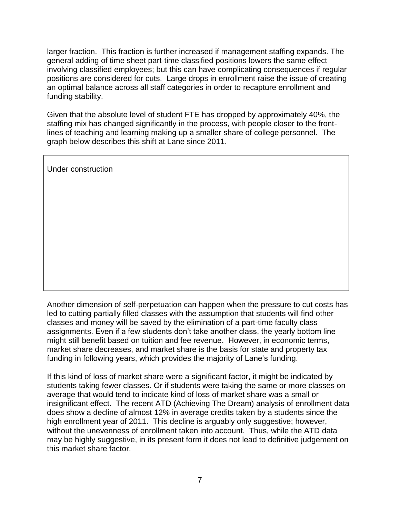larger fraction. This fraction is further increased if management staffing expands. The general adding of time sheet part-time classified positions lowers the same effect involving classified employees; but this can have complicating consequences if regular positions are considered for cuts. Large drops in enrollment raise the issue of creating an optimal balance across all staff categories in order to recapture enrollment and funding stability.

Given that the absolute level of student FTE has dropped by approximately 40%, the staffing mix has changed significantly in the process, with people closer to the frontlines of teaching and learning making up a smaller share of college personnel. The graph below describes this shift at Lane since 2011.

Under construction

Another dimension of self-perpetuation can happen when the pressure to cut costs has led to cutting partially filled classes with the assumption that students will find other classes and money will be saved by the elimination of a part-time faculty class assignments. Even if a few students don't take another class, the yearly bottom line might still benefit based on tuition and fee revenue. However, in economic terms, market share decreases, and market share is the basis for state and property tax funding in following years, which provides the majority of Lane's funding.

If this kind of loss of market share were a significant factor, it might be indicated by students taking fewer classes. Or if students were taking the same or more classes on average that would tend to indicate kind of loss of market share was a small or insignificant effect. The recent ATD (Achieving The Dream) analysis of enrollment data does show a decline of almost 12% in average credits taken by a students since the high enrollment year of 2011. This decline is arguably only suggestive; however, without the unevenness of enrollment taken into account. Thus, while the ATD data may be highly suggestive, in its present form it does not lead to definitive judgement on this market share factor.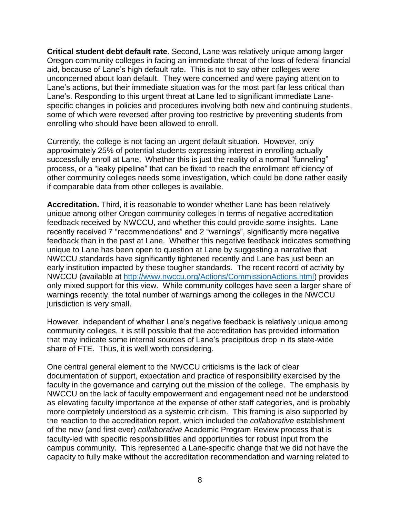**Critical student debt default rate**. Second, Lane was relatively unique among larger Oregon community colleges in facing an immediate threat of the loss of federal financial aid, because of Lane's high default rate. This is not to say other colleges were unconcerned about loan default. They were concerned and were paying attention to Lane's actions, but their immediate situation was for the most part far less critical than Lane's. Responding to this urgent threat at Lane led to significant immediate Lanespecific changes in policies and procedures involving both new and continuing students, some of which were reversed after proving too restrictive by preventing students from enrolling who should have been allowed to enroll.

Currently, the college is not facing an urgent default situation. However, only approximately 25% of potential students expressing interest in enrolling actually successfully enroll at Lane. Whether this is just the reality of a normal "funneling" process, or a "leaky pipeline" that can be fixed to reach the enrollment efficiency of other community colleges needs some investigation, which could be done rather easily if comparable data from other colleges is available.

**Accreditation.** Third, it is reasonable to wonder whether Lane has been relatively unique among other Oregon community colleges in terms of negative accreditation feedback received by NWCCU, and whether this could provide some insights. Lane recently received 7 "recommendations" and 2 "warnings", significantly more negative feedback than in the past at Lane. Whether this negative feedback indicates something unique to Lane has been open to question at Lane by suggesting a narrative that NWCCU standards have significantly tightened recently and Lane has just been an early institution impacted by these tougher standards. The recent record of activity by NWCCU (available at [http://www.nwccu.org/Actions/CommissionActions.html\)](http://www.nwccu.org/Actions/CommissionActions.html) provides only mixed support for this view. While community colleges have seen a larger share of warnings recently, the total number of warnings among the colleges in the NWCCU jurisdiction is very small.

However, independent of whether Lane's negative feedback is relatively unique among community colleges, it is still possible that the accreditation has provided information that may indicate some internal sources of Lane's precipitous drop in its state-wide share of FTE. Thus, it is well worth considering.

One central general element to the NWCCU criticisms is the lack of clear documentation of support, expectation and practice of responsibility exercised by the faculty in the governance and carrying out the mission of the college. The emphasis by NWCCU on the lack of faculty empowerment and engagement need not be understood as elevating faculty importance at the expense of other staff categories, and is probably more completely understood as a systemic criticism. This framing is also supported by the reaction to the accreditation report, which included the *collaborative* establishment of the new (and first ever) *collaborative* Academic Program Review process that is faculty-led with specific responsibilities and opportunities for robust input from the campus community. This represented a Lane-specific change that we did not have the capacity to fully make without the accreditation recommendation and warning related to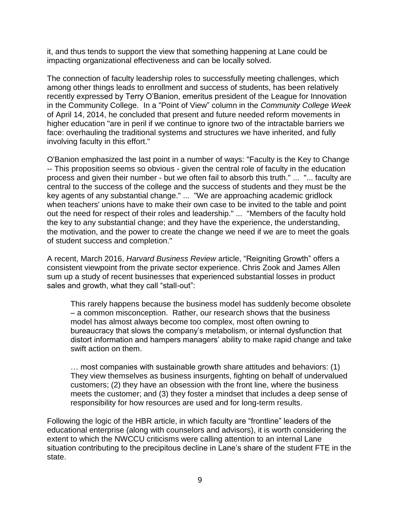it, and thus tends to support the view that something happening at Lane could be impacting organizational effectiveness and can be locally solved.

The connection of faculty leadership roles to successfully meeting challenges, which among other things leads to enrollment and success of students, has been relatively recently expressed by Terry O'Banion, emeritus president of the League for Innovation in the Community College. In a "Point of View" column in the *Community College Week* of April 14, 2014, he concluded that present and future needed reform movements in higher education "are in peril if we continue to ignore two of the intractable barriers we face: overhauling the traditional systems and structures we have inherited, and fully involving faculty in this effort."

O'Banion emphasized the last point in a number of ways: "Faculty is the Key to Change -- This proposition seems so obvious - given the central role of faculty in the education process and given their number - but we often fail to absorb this truth." ... "... faculty are central to the success of the college and the success of students and they must be the key agents of any substantial change." ... "We are approaching academic gridlock when teachers' unions have to make their own case to be invited to the table and point out the need for respect of their roles and leadership." ... "Members of the faculty hold the key to any substantial change; and they have the experience, the understanding, the motivation, and the power to create the change we need if we are to meet the goals of student success and completion."

A recent, March 2016, *Harvard Business Review* article, "Reigniting Growth" offers a consistent viewpoint from the private sector experience. Chris Zook and James Allen sum up a study of recent businesses that experienced substantial losses in product sales and growth, what they call "stall-out":

This rarely happens because the business model has suddenly become obsolete – a common misconception. Rather, our research shows that the business model has almost always become too complex, most often owning to bureaucracy that slows the company's metabolism, or internal dysfunction that distort information and hampers managers' ability to make rapid change and take swift action on them.

… most companies with sustainable growth share attitudes and behaviors: (1) They view themselves as business insurgents, fighting on behalf of undervalued customers; (2) they have an obsession with the front line, where the business meets the customer; and (3) they foster a mindset that includes a deep sense of responsibility for how resources are used and for long-term results.

Following the logic of the HBR article, in which faculty are "frontline" leaders of the educational enterprise (along with counselors and advisors), it is worth considering the extent to which the NWCCU criticisms were calling attention to an internal Lane situation contributing to the precipitous decline in Lane's share of the student FTE in the state.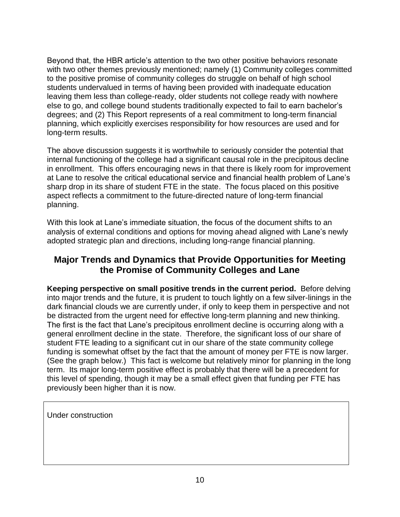Beyond that, the HBR article's attention to the two other positive behaviors resonate with two other themes previously mentioned; namely (1) Community colleges committed to the positive promise of community colleges do struggle on behalf of high school students undervalued in terms of having been provided with inadequate education leaving them less than college-ready, older students not college ready with nowhere else to go, and college bound students traditionally expected to fail to earn bachelor's degrees; and (2) This Report represents of a real commitment to long-term financial planning, which explicitly exercises responsibility for how resources are used and for long-term results.

The above discussion suggests it is worthwhile to seriously consider the potential that internal functioning of the college had a significant causal role in the precipitous decline in enrollment. This offers encouraging news in that there is likely room for improvement at Lane to resolve the critical educational service and financial health problem of Lane's sharp drop in its share of student FTE in the state. The focus placed on this positive aspect reflects a commitment to the future-directed nature of long-term financial planning.

With this look at Lane's immediate situation, the focus of the document shifts to an analysis of external conditions and options for moving ahead aligned with Lane's newly adopted strategic plan and directions, including long-range financial planning.

# **Major Trends and Dynamics that Provide Opportunities for Meeting the Promise of Community Colleges and Lane**

**Keeping perspective on small positive trends in the current period.** Before delving into major trends and the future, it is prudent to touch lightly on a few silver-linings in the dark financial clouds we are currently under, if only to keep them in perspective and not be distracted from the urgent need for effective long-term planning and new thinking. The first is the fact that Lane's precipitous enrollment decline is occurring along with a general enrollment decline in the state. Therefore, the significant loss of our share of student FTE leading to a significant cut in our share of the state community college funding is somewhat offset by the fact that the amount of money per FTE is now larger. (See the graph below.) This fact is welcome but relatively minor for planning in the long term. Its major long-term positive effect is probably that there will be a precedent for this level of spending, though it may be a small effect given that funding per FTE has previously been higher than it is now.

Under construction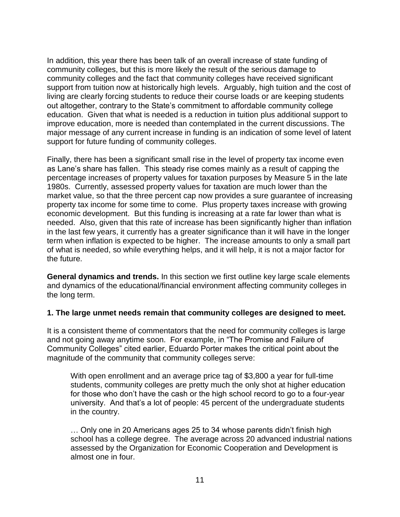In addition, this year there has been talk of an overall increase of state funding of community colleges, but this is more likely the result of the serious damage to community colleges and the fact that community colleges have received significant support from tuition now at historically high levels. Arguably, high tuition and the cost of living are clearly forcing students to reduce their course loads or are keeping students out altogether, contrary to the State's commitment to affordable community college education. Given that what is needed is a reduction in tuition plus additional support to improve education, more is needed than contemplated in the current discussions. The major message of any current increase in funding is an indication of some level of latent support for future funding of community colleges.

Finally, there has been a significant small rise in the level of property tax income even as Lane's share has fallen. This steady rise comes mainly as a result of capping the percentage increases of property values for taxation purposes by Measure 5 in the late 1980s. Currently, assessed property values for taxation are much lower than the market value, so that the three percent cap now provides a sure guarantee of increasing property tax income for some time to come. Plus property taxes increase with growing economic development. But this funding is increasing at a rate far lower than what is needed. Also, given that this rate of increase has been significantly higher than inflation in the last few years, it currently has a greater significance than it will have in the longer term when inflation is expected to be higher. The increase amounts to only a small part of what is needed, so while everything helps, and it will help, it is not a major factor for the future.

**General dynamics and trends.** In this section we first outline key large scale elements and dynamics of the educational/financial environment affecting community colleges in the long term.

### **1. The large unmet needs remain that community colleges are designed to meet.**

It is a consistent theme of commentators that the need for community colleges is large and not going away anytime soon. For example, in "The Promise and Failure of Community Colleges" cited earlier, Eduardo Porter makes the critical point about the magnitude of the community that community colleges serve:

With open enrollment and an average price tag of \$3,800 a year for full-time students, community colleges are pretty much the only shot at higher education for those who don't have the cash or the high school record to go to a four-year university. And that's a lot of people: 45 percent of the undergraduate students in the country.

… Only one in 20 Americans ages 25 to 34 whose parents didn't finish high school has a college degree. The average across 20 advanced industrial nations assessed by the Organization for Economic Cooperation and Development is almost one in four.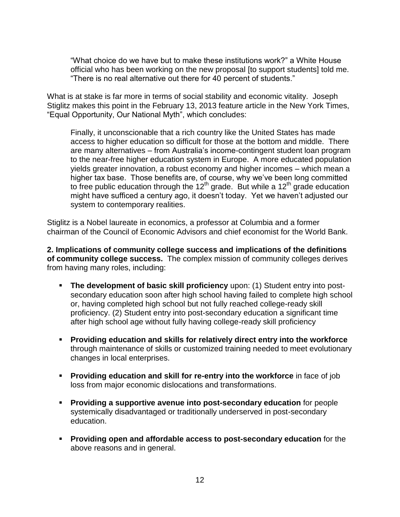"What choice do we have but to make these institutions work?" a White House official who has been working on the new proposal [to support students] told me. "There is no real alternative out there for 40 percent of students."

What is at stake is far more in terms of social stability and economic vitality. Joseph Stiglitz makes this point in the February 13, 2013 feature article in the New York Times, "Equal Opportunity, Our National Myth", which concludes:

Finally, it unconscionable that a rich country like the United States has made access to higher education so difficult for those at the bottom and middle. There are many alternatives – from Australia's income-contingent student loan program to the near-free higher education system in Europe. A more educated population yields greater innovation, a robust economy and higher incomes – which mean a higher tax base. Those benefits are, of course, why we've been long committed to free public education through the  $12<sup>th</sup>$  grade. But while a  $12<sup>th</sup>$  grade education might have sufficed a century ago, it doesn't today. Yet we haven't adjusted our system to contemporary realities.

Stiglitz is a Nobel laureate in economics, a professor at Columbia and a former chairman of the Council of Economic Advisors and chief economist for the World Bank.

**2. Implications of community college success and implications of the definitions of community college success.** The complex mission of community colleges derives from having many roles, including:

- **The development of basic skill proficiency** upon: (1) Student entry into postsecondary education soon after high school having failed to complete high school or, having completed high school but not fully reached college-ready skill proficiency. (2) Student entry into post-secondary education a significant time after high school age without fully having college-ready skill proficiency
- **Providing education and skills for relatively direct entry into the workforce** through maintenance of skills or customized training needed to meet evolutionary changes in local enterprises.
- **Providing education and skill for re-entry into the workforce** in face of job loss from major economic dislocations and transformations.
- **Providing a supportive avenue into post-secondary education** for people systemically disadvantaged or traditionally underserved in post-secondary education.
- **Providing open and affordable access to post-secondary education** for the above reasons and in general.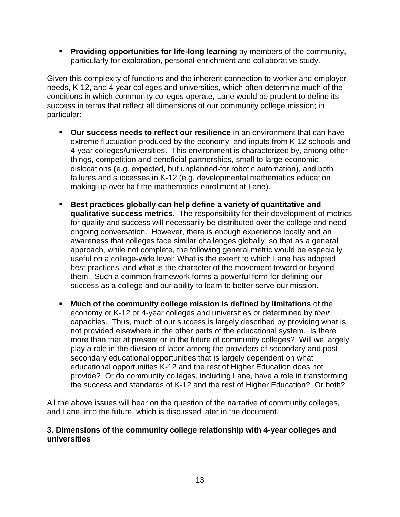**Providing opportunities for life-long learning** by members of the community, particularly for exploration, personal enrichment and collaborative study.

Given this complexity of functions and the inherent connection to worker and employer needs, K-12, and 4-year colleges and universities, which often determine much of the conditions in which community colleges operate, Lane would be prudent to define its success in terms that reflect all dimensions of our community college mission; in particular:

- **Our success needs to reflect our resilience** in an environment that can have extreme fluctuation produced by the economy, and inputs from K-12 schools and 4-year colleges/universities. This environment is characterized by, among other things, competition and beneficial partnerships, small to large economic dislocations (e.g. expected, but unplanned-for robotic automation), and both failures and successes in K-12 (e.g. developmental mathematics education making up over half the mathematics enrollment at Lane).
- **Best practices globally can help define a variety of quantitative and qualitative success metrics**. The responsibility for their development of metrics for quality and success will necessarily be distributed over the college and need ongoing conversation. However, there is enough experience locally and an awareness that colleges face similar challenges globally, so that as a general approach, while not complete, the following general metric would be especially useful on a college-wide level: What is the extent to which Lane has adopted best practices, and what is the character of the movement toward or beyond them. Such a common framework forms a powerful form for defining our success as a college and our ability to learn to better serve our mission.
- **Much of the community college mission is defined by limitations** of the economy or K-12 or 4-year colleges and universities or determined by *their* capacities. Thus, much of our success is largely described by providing what is not provided elsewhere in the other parts of the educational system. Is there more than that at present or in the future of community colleges? Will we largely play a role in the division of labor among the providers of secondary and postsecondary educational opportunities that is largely dependent on what educational opportunities K-12 and the rest of Higher Education does not provide? Or do community colleges, including Lane, have a role in transforming the success and standards of K-12 and the rest of Higher Education? Or both?

All the above issues will bear on the question of the narrative of community colleges, and Lane, into the future, which is discussed later in the document.

### **3. Dimensions of the community college relationship with 4-year colleges and universities**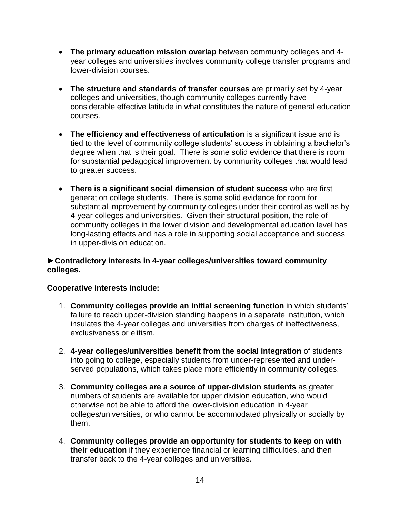- **The primary education mission overlap** between community colleges and 4 year colleges and universities involves community college transfer programs and lower-division courses.
- **The structure and standards of transfer courses** are primarily set by 4-year colleges and universities, though community colleges currently have considerable effective latitude in what constitutes the nature of general education courses.
- **The efficiency and effectiveness of articulation** is a significant issue and is tied to the level of community college students' success in obtaining a bachelor's degree when that is their goal. There is some solid evidence that there is room for substantial pedagogical improvement by community colleges that would lead to greater success.
- **There is a significant social dimension of student success** who are first generation college students. There is some solid evidence for room for substantial improvement by community colleges under their control as well as by 4-year colleges and universities. Given their structural position, the role of community colleges in the lower division and developmental education level has long-lasting effects and has a role in supporting social acceptance and success in upper-division education.

# **►Contradictory interests in 4-year colleges/universities toward community colleges.**

### **Cooperative interests include:**

- 1. **Community colleges provide an initial screening function** in which students' failure to reach upper-division standing happens in a separate institution, which insulates the 4-year colleges and universities from charges of ineffectiveness, exclusiveness or elitism.
- 2. **4-year colleges/universities benefit from the social integration** of students into going to college, especially students from under-represented and underserved populations, which takes place more efficiently in community colleges.
- 3. **Community colleges are a source of upper-division students** as greater numbers of students are available for upper division education, who would otherwise not be able to afford the lower-division education in 4-year colleges/universities, or who cannot be accommodated physically or socially by them.
- 4. **Community colleges provide an opportunity for students to keep on with their education** if they experience financial or learning difficulties, and then transfer back to the 4-year colleges and universities.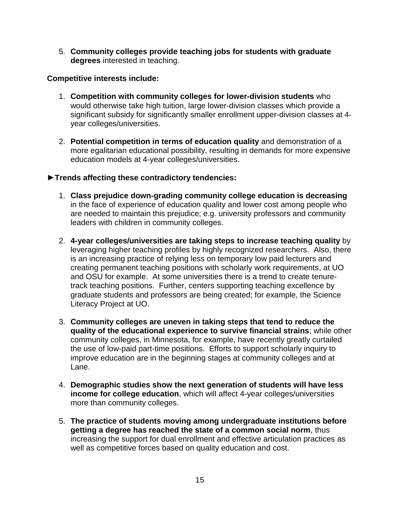5. **Community colleges provide teaching jobs for students with graduate degrees** interested in teaching.

### **Competitive interests include:**

- 1. **Competition with community colleges for lower-division students** who would otherwise take high tuition, large lower-division classes which provide a significant subsidy for significantly smaller enrollment upper-division classes at 4 year colleges/universities.
- 2. **Potential competition in terms of education quality** and demonstration of a more egalitarian educational possibility, resulting in demands for more expensive education models at 4-year colleges/universities.

#### **►Trends affecting these contradictory tendencies:**

- 1. **Class prejudice down-grading community college education is decreasing** in the face of experience of education quality and lower cost among people who are needed to maintain this prejudice; e.g. university professors and community leaders with children in community colleges.
- 2. **4-year colleges/universities are taking steps to increase teaching quality** by leveraging higher teaching profiles by highly recognized researchers. Also, there is an increasing practice of relying less on temporary low paid lecturers and creating permanent teaching positions with scholarly work requirements, at UO and OSU for example. At some universities there is a trend to create tenuretrack teaching positions. Further, centers supporting teaching excellence by graduate students and professors are being created; for example, the Science Literacy Project at UO.
- 3. **Community colleges are uneven in taking steps that tend to reduce the quality of the educational experience to survive financial strains**; while other community colleges, in Minnesota, for example, have recently greatly curtailed the use of low-paid part-time positions. Efforts to support scholarly inquiry to improve education are in the beginning stages at community colleges and at Lane.
- 4. **Demographic studies show the next generation of students will have less income for college education**, which will affect 4-year colleges/universities more than community colleges.
- 5. **The practice of students moving among undergraduate institutions before getting a degree has reached the state of a common social norm**, thus increasing the support for dual enrollment and effective articulation practices as well as competitive forces based on quality education and cost.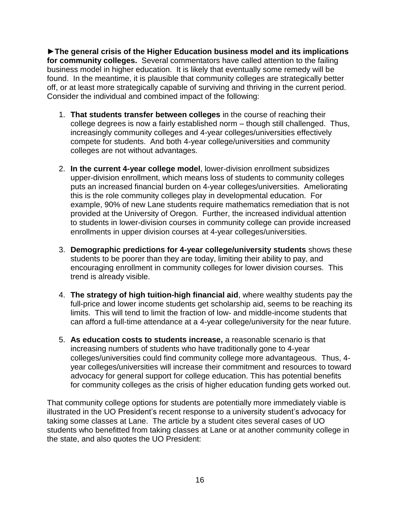**►The general crisis of the Higher Education business model and its implications for community colleges.** Several commentators have called attention to the failing business model in higher education. It is likely that eventually some remedy will be found. In the meantime, it is plausible that community colleges are strategically better off, or at least more strategically capable of surviving and thriving in the current period. Consider the individual and combined impact of the following:

- 1. **That students transfer between colleges** in the course of reaching their college degrees is now a fairly established norm – though still challenged. Thus, increasingly community colleges and 4-year colleges/universities effectively compete for students. And both 4-year college/universities and community colleges are not without advantages.
- 2. **In the current 4-year college model**, lower-division enrollment subsidizes upper-division enrollment, which means loss of students to community colleges puts an increased financial burden on 4-year colleges/universities. Ameliorating this is the role community colleges play in developmental education. For example, 90% of new Lane students require mathematics remediation that is not provided at the University of Oregon. Further, the increased individual attention to students in lower-division courses in community college can provide increased enrollments in upper division courses at 4-year colleges/universities.
- 3. **Demographic predictions for 4-year college/university students** shows these students to be poorer than they are today, limiting their ability to pay, and encouraging enrollment in community colleges for lower division courses. This trend is already visible.
- 4. **The strategy of high tuition-high financial aid**, where wealthy students pay the full-price and lower income students get scholarship aid, seems to be reaching its limits. This will tend to limit the fraction of low- and middle-income students that can afford a full-time attendance at a 4-year college/university for the near future.
- 5. **As education costs to students increase,** a reasonable scenario is that increasing numbers of students who have traditionally gone to 4-year colleges/universities could find community college more advantageous. Thus, 4 year colleges/universities will increase their commitment and resources to toward advocacy for general support for college education. This has potential benefits for community colleges as the crisis of higher education funding gets worked out.

That community college options for students are potentially more immediately viable is illustrated in the UO President's recent response to a university student's advocacy for taking some classes at Lane. The article by a student cites several cases of UO students who benefitted from taking classes at Lane or at another community college in the state, and also quotes the UO President: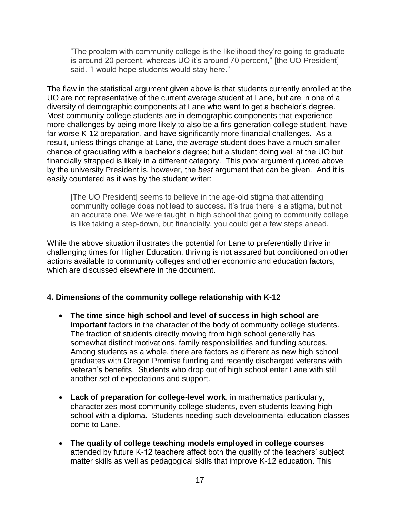"The problem with community college is the likelihood they're going to graduate is around 20 percent, whereas UO it's around 70 percent," [the UO President] said. "I would hope students would stay here."

The flaw in the statistical argument given above is that students currently enrolled at the UO are not representative of the current average student at Lane, but are in one of a diversity of demographic components at Lane who want to get a bachelor's degree. Most community college students are in demographic components that experience more challenges by being more likely to also be a firs-generation college student, have far worse K-12 preparation, and have significantly more financial challenges. As a result, unless things change at Lane, the *average* student does have a much smaller chance of graduating with a bachelor's degree; but a student doing well at the UO but financially strapped is likely in a different category. This *poor* argument quoted above by the university President is, however, the *best* argument that can be given. And it is easily countered as it was by the student writer:

[The UO President] seems to believe in the age-old stigma that attending community college does not lead to success. It's true there is a stigma, but not an accurate one. We were taught in high school that going to community college is like taking a step-down, but financially, you could get a few steps ahead.

While the above situation illustrates the potential for Lane to preferentially thrive in challenging times for Higher Education, thriving is not assured but conditioned on other actions available to community colleges and other economic and education factors, which are discussed elsewhere in the document.

# **4. Dimensions of the community college relationship with K-12**

- **The time since high school and level of success in high school are important** factors in the character of the body of community college students. The fraction of students directly moving from high school generally has somewhat distinct motivations, family responsibilities and funding sources. Among students as a whole, there are factors as different as new high school graduates with Oregon Promise funding and recently discharged veterans with veteran's benefits. Students who drop out of high school enter Lane with still another set of expectations and support.
- **Lack of preparation for college-level work**, in mathematics particularly, characterizes most community college students, even students leaving high school with a diploma. Students needing such developmental education classes come to Lane.
- **The quality of college teaching models employed in college courses** attended by future K-12 teachers affect both the quality of the teachers' subject matter skills as well as pedagogical skills that improve K-12 education. This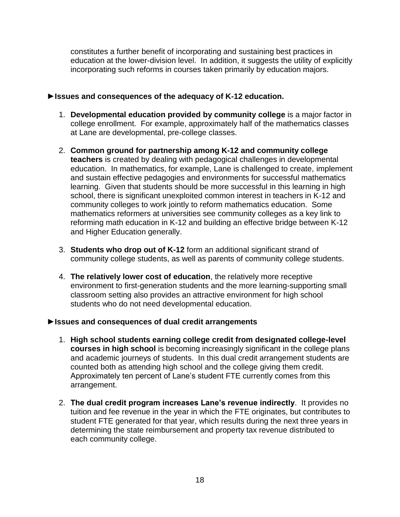constitutes a further benefit of incorporating and sustaining best practices in education at the lower-division level. In addition, it suggests the utility of explicitly incorporating such reforms in courses taken primarily by education majors.

# **►Issues and consequences of the adequacy of K-12 education.**

- 1. **Developmental education provided by community college** is a major factor in college enrollment. For example, approximately half of the mathematics classes at Lane are developmental, pre-college classes.
- 2. **Common ground for partnership among K-12 and community college teachers** is created by dealing with pedagogical challenges in developmental education. In mathematics, for example, Lane is challenged to create, implement and sustain effective pedagogies and environments for successful mathematics learning. Given that students should be more successful in this learning in high school, there is significant unexploited common interest in teachers in K-12 and community colleges to work jointly to reform mathematics education. Some mathematics reformers at universities see community colleges as a key link to reforming math education in K-12 and building an effective bridge between K-12 and Higher Education generally.
- 3. **Students who drop out of K-12** form an additional significant strand of community college students, as well as parents of community college students.
- 4. **The relatively lower cost of education**, the relatively more receptive environment to first-generation students and the more learning-supporting small classroom setting also provides an attractive environment for high school students who do not need developmental education.

### **►Issues and consequences of dual credit arrangements**

- 1. **High school students earning college credit from designated college-level courses in high school** is becoming increasingly significant in the college plans and academic journeys of students. In this dual credit arrangement students are counted both as attending high school and the college giving them credit. Approximately ten percent of Lane's student FTE currently comes from this arrangement.
- 2. **The dual credit program increases Lane's revenue indirectly**. It provides no tuition and fee revenue in the year in which the FTE originates, but contributes to student FTE generated for that year, which results during the next three years in determining the state reimbursement and property tax revenue distributed to each community college.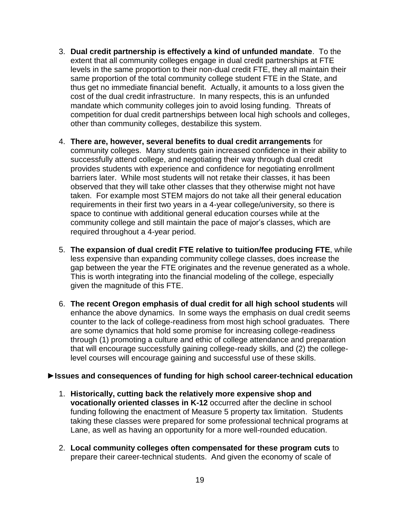- 3. **Dual credit partnership is effectively a kind of unfunded mandate**. To the extent that all community colleges engage in dual credit partnerships at FTE levels in the same proportion to their non-dual credit FTE, they all maintain their same proportion of the total community college student FTE in the State, and thus get no immediate financial benefit. Actually, it amounts to a loss given the cost of the dual credit infrastructure. In many respects, this is an unfunded mandate which community colleges join to avoid losing funding. Threats of competition for dual credit partnerships between local high schools and colleges, other than community colleges, destabilize this system.
- 4. **There are, however, several benefits to dual credit arrangements** for community colleges. Many students gain increased confidence in their ability to successfully attend college, and negotiating their way through dual credit provides students with experience and confidence for negotiating enrollment barriers later. While most students will not retake their classes, it has been observed that they will take other classes that they otherwise might not have taken. For example most STEM majors do not take all their general education requirements in their first two years in a 4-year college/university, so there is space to continue with additional general education courses while at the community college and still maintain the pace of major's classes, which are required throughout a 4-year period.
- 5. **The expansion of dual credit FTE relative to tuition/fee producing FTE**, while less expensive than expanding community college classes, does increase the gap between the year the FTE originates and the revenue generated as a whole. This is worth integrating into the financial modeling of the college, especially given the magnitude of this FTE.
- 6. **The recent Oregon emphasis of dual credit for all high school students** will enhance the above dynamics. In some ways the emphasis on dual credit seems counter to the lack of college-readiness from most high school graduates. There are some dynamics that hold some promise for increasing college-readiness through (1) promoting a culture and ethic of college attendance and preparation that will encourage successfully gaining college-ready skills, and (2) the collegelevel courses will encourage gaining and successful use of these skills.

### **►Issues and consequences of funding for high school career-technical education**

- 1. **Historically, cutting back the relatively more expensive shop and vocationally oriented classes in K-12** occurred after the decline in school funding following the enactment of Measure 5 property tax limitation. Students taking these classes were prepared for some professional technical programs at Lane, as well as having an opportunity for a more well-rounded education.
- 2. **Local community colleges often compensated for these program cuts** to prepare their career-technical students. And given the economy of scale of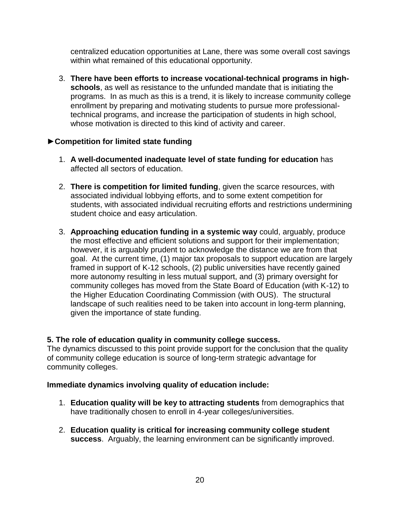centralized education opportunities at Lane, there was some overall cost savings within what remained of this educational opportunity.

3. **There have been efforts to increase vocational-technical programs in highschools**, as well as resistance to the unfunded mandate that is initiating the programs. In as much as this is a trend, it is likely to increase community college enrollment by preparing and motivating students to pursue more professionaltechnical programs, and increase the participation of students in high school, whose motivation is directed to this kind of activity and career.

# **►Competition for limited state funding**

- 1. **A well-documented inadequate level of state funding for education** has affected all sectors of education.
- 2. **There is competition for limited funding**, given the scarce resources, with associated individual lobbying efforts, and to some extent competition for students, with associated individual recruiting efforts and restrictions undermining student choice and easy articulation.
- 3. **Approaching education funding in a systemic way** could, arguably, produce the most effective and efficient solutions and support for their implementation; however, it is arguably prudent to acknowledge the distance we are from that goal. At the current time, (1) major tax proposals to support education are largely framed in support of K-12 schools, (2) public universities have recently gained more autonomy resulting in less mutual support, and (3) primary oversight for community colleges has moved from the State Board of Education (with K-12) to the Higher Education Coordinating Commission (with OUS). The structural landscape of such realities need to be taken into account in long-term planning, given the importance of state funding.

### **5. The role of education quality in community college success.**

The dynamics discussed to this point provide support for the conclusion that the quality of community college education is source of long-term strategic advantage for community colleges.

### **Immediate dynamics involving quality of education include:**

- 1. **Education quality will be key to attracting students** from demographics that have traditionally chosen to enroll in 4-year colleges/universities.
- 2. **Education quality is critical for increasing community college student success**. Arguably, the learning environment can be significantly improved.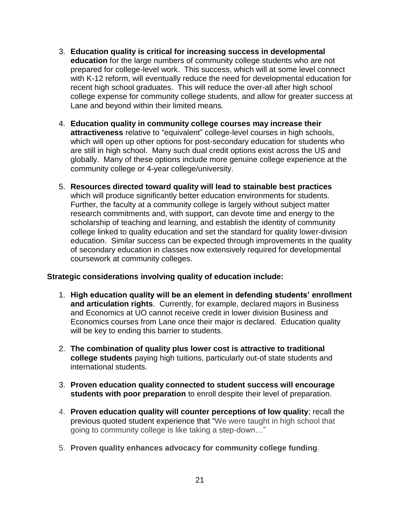- 3. **Education quality is critical for increasing success in developmental education** for the large numbers of community college students who are not prepared for college-level work. This success, which will at some level connect with K-12 reform, will eventually reduce the need for developmental education for recent high school graduates. This will reduce the over-all after high school college expense for community college students, and allow for greater success at Lane and beyond within their limited means.
- 4. **Education quality in community college courses may increase their attractiveness** relative to "equivalent" college-level courses in high schools, which will open up other options for post-secondary education for students who are still in high school. Many such dual credit options exist across the US and globally. Many of these options include more genuine college experience at the community college or 4-year college/university.
- 5. **Resources directed toward quality will lead to stainable best practices** which will produce significantly better education environments for students. Further, the faculty at a community college is largely without subject matter research commitments and, with support, can devote time and energy to the scholarship of teaching and learning, and establish the identity of community college linked to quality education and set the standard for quality lower-division education. Similar success can be expected through improvements in the quality of secondary education in classes now extensively required for developmental coursework at community colleges.

### **Strategic considerations involving quality of education include:**

- 1. **High education quality will be an element in defending students' enrollment and articulation rights**. Currently, for example, declared majors in Business and Economics at UO cannot receive credit in lower division Business and Economics courses from Lane once their major is declared. Education quality will be key to ending this barrier to students.
- 2. **The combination of quality plus lower cost is attractive to traditional college students** paying high tuitions, particularly out-of state students and international students.
- 3. **Proven education quality connected to student success will encourage students with poor preparation** to enroll despite their level of preparation.
- 4. **Proven education quality will counter perceptions of low quality**; recall the previous quoted student experience that "We were taught in high school that going to community college is like taking a step-down…"
- 5. **Proven quality enhances advocacy for community college funding**.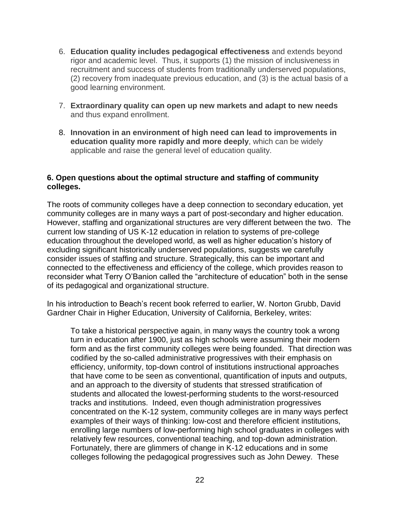- 6. **Education quality includes pedagogical effectiveness** and extends beyond rigor and academic level. Thus, it supports (1) the mission of inclusiveness in recruitment and success of students from traditionally underserved populations, (2) recovery from inadequate previous education, and (3) is the actual basis of a good learning environment.
- 7. **Extraordinary quality can open up new markets and adapt to new needs** and thus expand enrollment.
- 8. **Innovation in an environment of high need can lead to improvements in education quality more rapidly and more deeply**, which can be widely applicable and raise the general level of education quality.

# **6. Open questions about the optimal structure and staffing of community colleges.**

The roots of community colleges have a deep connection to secondary education, yet community colleges are in many ways a part of post-secondary and higher education. However, staffing and organizational structures are very different between the two. The current low standing of US K-12 education in relation to systems of pre-college education throughout the developed world, as well as higher education's history of excluding significant historically underserved populations, suggests we carefully consider issues of staffing and structure. Strategically, this can be important and connected to the effectiveness and efficiency of the college, which provides reason to reconsider what Terry O'Banion called the "architecture of education" both in the sense of its pedagogical and organizational structure.

In his introduction to Beach's recent book referred to earlier, W. Norton Grubb, David Gardner Chair in Higher Education, University of California, Berkeley, writes:

To take a historical perspective again, in many ways the country took a wrong turn in education after 1900, just as high schools were assuming their modern form and as the first community colleges were being founded. That direction was codified by the so-called administrative progressives with their emphasis on efficiency, uniformity, top-down control of institutions instructional approaches that have come to be seen as conventional, quantification of inputs and outputs, and an approach to the diversity of students that stressed stratification of students and allocated the lowest-performing students to the worst-resourced tracks and institutions. Indeed, even though administration progressives concentrated on the K-12 system, community colleges are in many ways perfect examples of their ways of thinking: low-cost and therefore efficient institutions, enrolling large numbers of low-performing high school graduates in colleges with relatively few resources, conventional teaching, and top-down administration. Fortunately, there are glimmers of change in K-12 educations and in some colleges following the pedagogical progressives such as John Dewey. These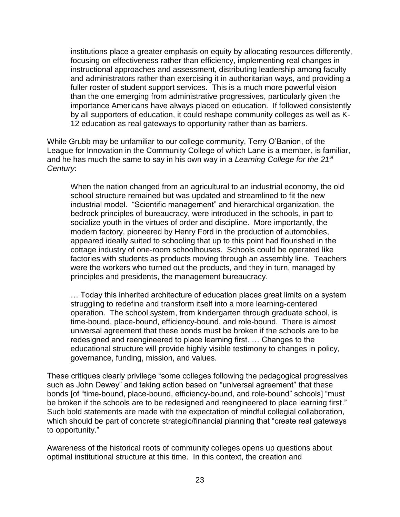institutions place a greater emphasis on equity by allocating resources differently, focusing on effectiveness rather than efficiency, implementing real changes in instructional approaches and assessment, distributing leadership among faculty and administrators rather than exercising it in authoritarian ways, and providing a fuller roster of student support services. This is a much more powerful vision than the one emerging from administrative progressives, particularly given the importance Americans have always placed on education. If followed consistently by all supporters of education, it could reshape community colleges as well as K-12 education as real gateways to opportunity rather than as barriers.

While Grubb may be unfamiliar to our college community, Terry O'Banion, of the League for Innovation in the Community College of which Lane is a member, is familiar, and he has much the same to say in his own way in a *Learning College for the 21st Century*:

When the nation changed from an agricultural to an industrial economy, the old school structure remained but was updated and streamlined to fit the new industrial model. "Scientific management" and hierarchical organization, the bedrock principles of bureaucracy, were introduced in the schools, in part to socialize youth in the virtues of order and discipline. More importantly, the modern factory, pioneered by Henry Ford in the production of automobiles, appeared ideally suited to schooling that up to this point had flourished in the cottage industry of one-room schoolhouses. Schools could be operated like factories with students as products moving through an assembly line. Teachers were the workers who turned out the products, and they in turn, managed by principles and presidents, the management bureaucracy.

… Today this inherited architecture of education places great limits on a system struggling to redefine and transform itself into a more learning-centered operation. The school system, from kindergarten through graduate school, is time-bound, place-bound, efficiency-bound, and role-bound. There is almost universal agreement that these bonds must be broken if the schools are to be redesigned and reengineered to place learning first. … Changes to the educational structure will provide highly visible testimony to changes in policy, governance, funding, mission, and values.

These critiques clearly privilege "some colleges following the pedagogical progressives such as John Dewey" and taking action based on "universal agreement" that these bonds [of "time-bound, place-bound, efficiency-bound, and role-bound" schools] "must be broken if the schools are to be redesigned and reengineered to place learning first." Such bold statements are made with the expectation of mindful collegial collaboration, which should be part of concrete strategic/financial planning that "create real gateways to opportunity."

Awareness of the historical roots of community colleges opens up questions about optimal institutional structure at this time. In this context, the creation and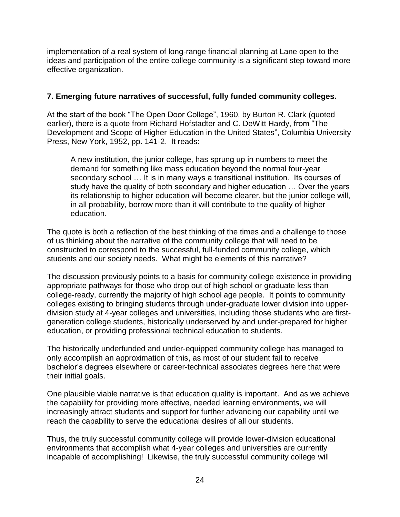implementation of a real system of long-range financial planning at Lane open to the ideas and participation of the entire college community is a significant step toward more effective organization.

# **7. Emerging future narratives of successful, fully funded community colleges.**

At the start of the book "The Open Door College", 1960, by Burton R. Clark (quoted earlier), there is a quote from Richard Hofstadter and C. DeWitt Hardy, from "The Development and Scope of Higher Education in the United States", Columbia University Press, New York, 1952, pp. 141-2. It reads:

A new institution, the junior college, has sprung up in numbers to meet the demand for something like mass education beyond the normal four-year secondary school ... It is in many ways a transitional institution. Its courses of study have the quality of both secondary and higher education … Over the years its relationship to higher education will become clearer, but the junior college will, in all probability, borrow more than it will contribute to the quality of higher education.

The quote is both a reflection of the best thinking of the times and a challenge to those of us thinking about the narrative of the community college that will need to be constructed to correspond to the successful, full-funded community college, which students and our society needs. What might be elements of this narrative?

The discussion previously points to a basis for community college existence in providing appropriate pathways for those who drop out of high school or graduate less than college-ready, currently the majority of high school age people. It points to community colleges existing to bringing students through under-graduate lower division into upperdivision study at 4-year colleges and universities, including those students who are firstgeneration college students, historically underserved by and under-prepared for higher education, or providing professional technical education to students.

The historically underfunded and under-equipped community college has managed to only accomplish an approximation of this, as most of our student fail to receive bachelor's degrees elsewhere or career-technical associates degrees here that were their initial goals.

One plausible viable narrative is that education quality is important. And as we achieve the capability for providing more effective, needed learning environments, we will increasingly attract students and support for further advancing our capability until we reach the capability to serve the educational desires of all our students.

Thus, the truly successful community college will provide lower-division educational environments that accomplish what 4-year colleges and universities are currently incapable of accomplishing! Likewise, the truly successful community college will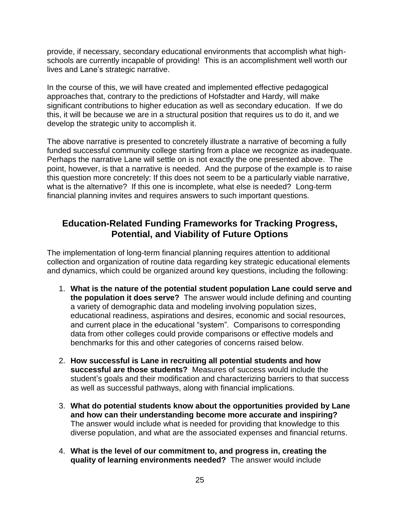provide, if necessary, secondary educational environments that accomplish what highschools are currently incapable of providing! This is an accomplishment well worth our lives and Lane's strategic narrative.

In the course of this, we will have created and implemented effective pedagogical approaches that, contrary to the predictions of Hofstadter and Hardy, will make significant contributions to higher education as well as secondary education. If we do this, it will be because we are in a structural position that requires us to do it, and we develop the strategic unity to accomplish it.

The above narrative is presented to concretely illustrate a narrative of becoming a fully funded successful community college starting from a place we recognize as inadequate. Perhaps the narrative Lane will settle on is not exactly the one presented above. The point, however, is that a narrative is needed. And the purpose of the example is to raise this question more concretely: If this does not seem to be a particularly viable narrative, what is the alternative? If this one is incomplete, what else is needed? Long-term financial planning invites and requires answers to such important questions.

# **Education-Related Funding Frameworks for Tracking Progress, Potential, and Viability of Future Options**

The implementation of long-term financial planning requires attention to additional collection and organization of routine data regarding key strategic educational elements and dynamics, which could be organized around key questions, including the following:

- 1. **What is the nature of the potential student population Lane could serve and the population it does serve?** The answer would include defining and counting a variety of demographic data and modeling involving population sizes, educational readiness, aspirations and desires, economic and social resources, and current place in the educational "system". Comparisons to corresponding data from other colleges could provide comparisons or effective models and benchmarks for this and other categories of concerns raised below.
- 2. **How successful is Lane in recruiting all potential students and how successful are those students?** Measures of success would include the student's goals and their modification and characterizing barriers to that success as well as successful pathways, along with financial implications.
- 3. **What do potential students know about the opportunities provided by Lane and how can their understanding become more accurate and inspiring?** The answer would include what is needed for providing that knowledge to this diverse population, and what are the associated expenses and financial returns.
- 4. **What is the level of our commitment to, and progress in, creating the quality of learning environments needed?** The answer would include